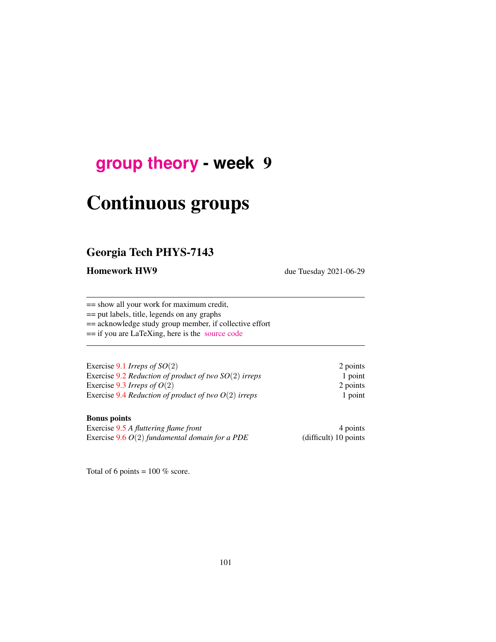## <span id="page-0-0"></span>**[group theory](http://birdtracks.eu/course3/schedule.html) - week** 9

# Continuous groups

## Georgia Tech PHYS-7143

Homework HW9 due Tuesday 2021-06-29

== show all your work for maximum credit,

== put labels, title, legends on any graphs

== acknowledge study group member, if collective effort

== if you are LaTeXing, here is the [source code](http://birdtracks.eu/course3/exerWeek9.tex)

| Exercise 9.1 Irreps of $SO(2)$                          | 2 points |
|---------------------------------------------------------|----------|
| Exercise 9.2 Reduction of product of two $SO(2)$ irreps | 1 point  |
| Exercise 9.3 Irreps of $O(2)$                           | 2 points |
| Exercise 9.4 Reduction of product of two $O(2)$ irreps  | 1 point  |

#### Bonus points

Exercise [9.5](#page-7-3) *A fluttering flame front* 4 points<br>Exercise 9.6 *O*(2) *fundamental domain for a PDE* (difficult) 10 points Exercise  $9.6 O(2)$  $9.6 O(2)$  *fundamental domain for a PDE* 

Total of 6 points =  $100\%$  score.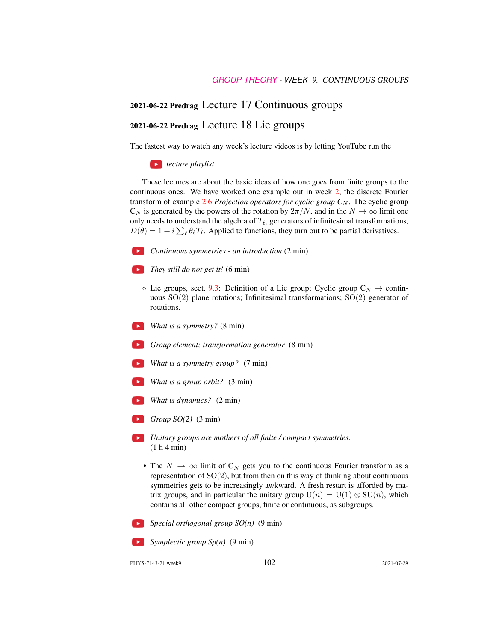#### 2021-06-22 Predrag Lecture 17 Continuous groups

#### 2021-06-22 Predrag Lecture 18 Lie groups

The fastest way to watch any week's lecture videos is by letting YouTube run the

*lecture playlist*

These lectures are about the basic ideas of how one goes from finite groups to the continuous ones. We have worked one example out in week 2, the discrete Fourier transform of example  $2.6$  *Projection operators for cyclic group*  $C_N$ . The cyclic group  $C_N$  is generated by the powers of the rotation by  $2\pi/N$ , and in the  $N \to \infty$  limit one only needs to understand the algebra of  $T_{\ell}$ , generators of infinitesimal transformations,  $D(\theta) = 1 + i \sum_{\ell} \theta_{\ell} T_{\ell}$ . Applied to functions, they turn out to be partial derivatives.

- *Continuous symmetries an introduction* (2 min)
- *They still do not get it!* (6 min)
	- $\circ$  Lie groups, sect. [9.3:](#page-5-0) Definition of a Lie group; Cyclic group  $C_N \to \text{contin}$ uous SO(2) plane rotations; Infinitesimal transformations; SO(2) generator of rotations.
- *What is a symmetry?* (8 min)
- *Group element; transformation generator* (8 min)
- *What is a symmetry group?* (7 min)
- *What is a group orbit?* (3 min)
- *What is dynamics?* (2 min)
- *Group SO(2)* (3 min)
- *Unitary groups are mothers of all finite / compact symmetries.* (1 h 4 min)
- The  $N \to \infty$  limit of  $C_N$  gets you to the continuous Fourier transform as a representation of  $SO(2)$ , but from then on this way of thinking about continuous symmetries gets to be increasingly awkward. A fresh restart is afforded by matrix groups, and in particular the unitary group  $U(n) = U(1) \otimes SU(n)$ , which contains all other compact groups, finite or continuous, as subgroups.



*Special orthogonal group SO(n)* (9 min)

*Symplectic group Sp(n)* (9 min)

PHYS-7143-21 week9 2021-07-29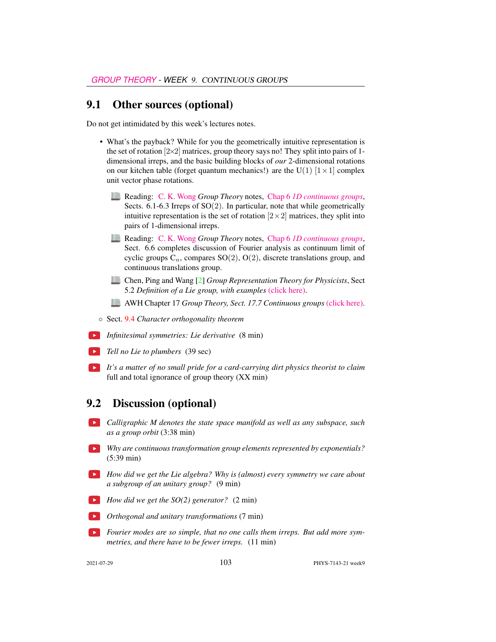#### 9.1 Other sources (optional)

Do not get intimidated by this week's lectures notes.

- What's the payback? While for you the geometrically intuitive representation is the set of rotation  $[2\times2]$  matrices, group theory says no! They split into pairs of 1dimensional irreps, and the basic building blocks of *our* 2-dimensional rotations on our kitchen table (forget quantum mechanics!) are the U(1)  $[1 \times 1]$  complex unit vector phase rotations.
	- Reading: [C. K. Wong](http://ckw.phys.ncku.edu.tw/) *Group Theory* notes, Chap 6 *[1D continuous groups](http://ckw.phys.ncku.edu.tw/public/pub/Notes/Mathematics/GroupTheory/Tung/Powerpoint/6._1DContinuousGroups.ppt)*, Sects.  $6.1-6.3$  Irreps of  $SO(2)$ . In particular, note that while geometrically intuitive representation is the set of rotation  $[2\times 2]$  matrices, they split into pairs of 1-dimensional irreps.
	- Reading: [C. K. Wong](http://ckw.phys.ncku.edu.tw/) *Group Theory* notes, Chap 6 *[1D continuous groups](http://ckw.phys.ncku.edu.tw/public/pub/Notes/Mathematics/GroupTheory/Tung/Powerpoint/6._1DContinuousGroups.ppt)*, Sect. 6.6 completes discussion of Fourier analysis as continuum limit of cyclic groups  $C_n$ , compares SO(2), O(2), discrete translations group, and continuous translations group.
	- Chen, Ping and Wang [\[2\]](#page-6-1) *Group Representation Theory for Physicists*, Sect 5.2 *Definition of a Lie group, with examples* [\(click here\).](http://ChaosBook.org/library/Chen5-2.pdf)
	- AWH Chapter 17 *Group Theory, Sect. 17.7 Continuous groups* [\(click here\).](http://ChaosBook.org/library/ArWeHa13chap17Group-Theory.pdf)
- Sect. [9.4](#page-6-2) *Character orthogonality theorem*
- *Infinitesimal symmetries: Lie derivative* (8 min)
- **Tell no Lie to plumbers** (39 sec)
- *It's a matter of no small pride for a card-carrying dirt physics theorist to claim* full and total ignorance of group theory (XX min)

#### 9.2 Discussion (optional)

- *Calligraphic M denotes the state space manifold as well as any subspace, such as a group orbit* (3:38 min)
- *Why are continuous transformation group elements represented by exponentials?* (5:39 min)
- *How did we get the Lie algebra? Why is (almost) every symmetry we care about a subgroup of an unitary group?* (9 min)
- **How did we get the SO(2) generator?** (2 min)
- *Orthogonal and unitary transformations* (7 min)
- *Fourier modes are so simple, that no one calls them irreps. But add more symmetries, and there have to be fewer irreps.* (11 min)

2021-07-29 103 PHYS-7143-21 week9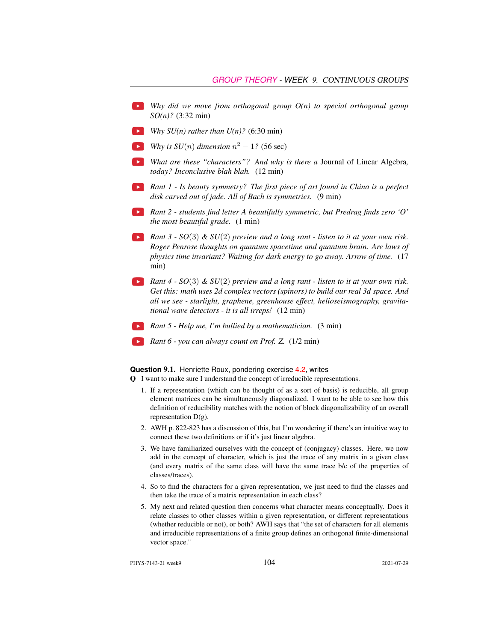- *Why did we move from orthogonal group O(n) to special orthogonal group SO(n)?* (3:32 min)
- *Why SU(n) rather than*  $U(n)$ *?* (6:30 min)
- *Why is SU*(*n*) *dimension*  $n^2 1$ ? (56 sec)
- *What are these "characters"? And why is there a* Journal of Linear Algebra*, today? Inconclusive blah blah.* (12 min)
- *Rant 1 Is beauty symmetry? The first piece of art found in China is a perfect disk carved out of jade. All of Bach is symmetries.* (9 min)
- *Rant 2 students find letter A beautifully symmetric, but Predrag finds zero 'O' the most beautiful grade.* (1 min)
- *Rant 3 SO*(3) *& SU*(2) *preview and a long rant listen to it at your own risk. Roger Penrose thoughts on quantum spacetime and quantum brain. Are laws of physics time invariant? Waiting for dark energy to go away. Arrow of time.* (17 min)
- *Rant 4 SO*(3) *& SU*(2) *preview and a long rant listen to it at your own risk. Get this: math uses 2d complex vectors (spinors) to build our real 3d space. And all we see - starlight, graphene, greenhouse effect, helioseismography, gravitational wave detectors - it is all irreps!* (12 min)
- *Rant 5 Help me, I'm bullied by a mathematician.* (3 min)
- *Rant 6 you can always count on Prof. Z.* (1/2 min)

**Question** 9.1. Henriette Roux, pondering exercise 4.2, writes

Q I want to make sure I understand the concept of irreducible representations.

- 1. If a representation (which can be thought of as a sort of basis) is reducible, all group element matrices can be simultaneously diagonalized. I want to be able to see how this definition of reducibility matches with the notion of block diagonalizability of an overall representation  $D(g)$ .
- 2. AWH p. 822-823 has a discussion of this, but I'm wondering if there's an intuitive way to connect these two definitions or if it's just linear algebra.
- 3. We have familiarized ourselves with the concept of (conjugacy) classes. Here, we now add in the concept of character, which is just the trace of any matrix in a given class (and every matrix of the same class will have the same trace b/c of the properties of classes/traces).
- 4. So to find the characters for a given representation, we just need to find the classes and then take the trace of a matrix representation in each class?
- 5. My next and related question then concerns what character means conceptually. Does it relate classes to other classes within a given representation, or different representations (whether reducible or not), or both? AWH says that "the set of characters for all elements and irreducible representations of a finite group defines an orthogonal finite-dimensional vector space."

PHYS-7143-21 week9 104 2021-07-29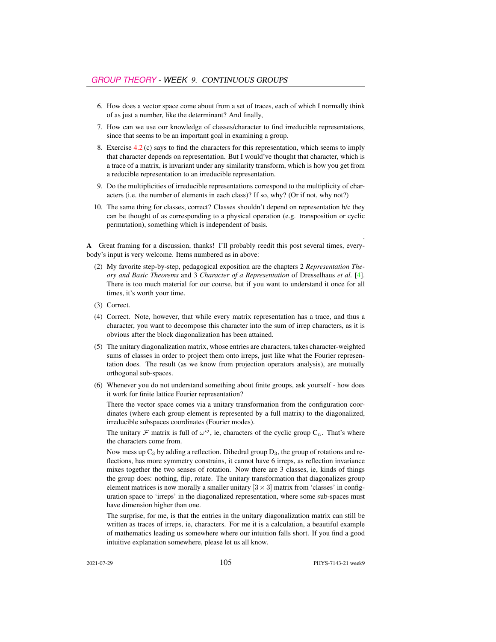- 6. How does a vector space come about from a set of traces, each of which I normally think of as just a number, like the determinant? And finally,
- 7. How can we use our knowledge of classes/character to find irreducible representations, since that seems to be an important goal in examining a group.
- 8. Exercise 4.2 (c) says to find the characters for this representation, which seems to imply that character depends on representation. But I would've thought that character, which is a trace of a matrix, is invariant under any similarity transform, which is how you get from a reducible representation to an irreducible representation.
- 9. Do the multiplicities of irreducible representations correspond to the multiplicity of characters (i.e. the number of elements in each class)? If so, why? (Or if not, why not?)
- 10. The same thing for classes, correct? Classes shouldn't depend on representation b/c they can be thought of as corresponding to a physical operation (e.g. transposition or cyclic permutation), something which is independent of basis.

A Great framing for a discussion, thanks! I'll probably reedit this post several times, everybody's input is very welcome. Items numbered as in above:

- (2) My favorite step-by-step, pedagogical exposition are the chapters 2 *Representation Theory and Basic Theorems* and 3 *Character of a Representation* of Dresselhaus *et al.* [\[4\]](#page-6-3). There is too much material for our course, but if you want to understand it once for all times, it's worth your time.
- (3) Correct.
- (4) Correct. Note, however, that while every matrix representation has a trace, and thus a character, you want to decompose this character into the sum of irrep characters, as it is obvious after the block diagonalization has been attained.
- (5) The unitary diagonalization matrix, whose entries are characters, takes character-weighted sums of classes in order to project them onto irreps, just like what the Fourier representation does. The result (as we know from projection operators analysis), are mutually orthogonal sub-spaces.
- (6) Whenever you do not understand something about finite groups, ask yourself how does it work for finite lattice Fourier representation?

There the vector space comes via a unitary transformation from the configuration coordinates (where each group element is represented by a full matrix) to the diagonalized, irreducible subspaces coordinates (Fourier modes).

The unitary F matrix is full of  $\omega^{ij}$ , ie, characters of the cyclic group  $C_n$ . That's where the characters come from.

Now mess up  $C_3$  by adding a reflection. Dihedral group  $D_3$ , the group of rotations and reflections, has more symmetry constrains, it cannot have 6 irreps, as reflection invariance mixes together the two senses of rotation. Now there are 3 classes, ie, kinds of things the group does: nothing, flip, rotate. The unitary transformation that diagonalizes group element matrices is now morally a smaller unitary  $[3 \times 3]$  matrix from 'classes' in configuration space to 'irreps' in the diagonalized representation, where some sub-spaces must have dimension higher than one.

The surprise, for me, is that the entries in the unitary diagonalization matrix can still be written as traces of irreps, ie, characters. For me it is a calculation, a beautiful example of mathematics leading us somewhere where our intuition falls short. If you find a good intuitive explanation somewhere, please let us all know.

.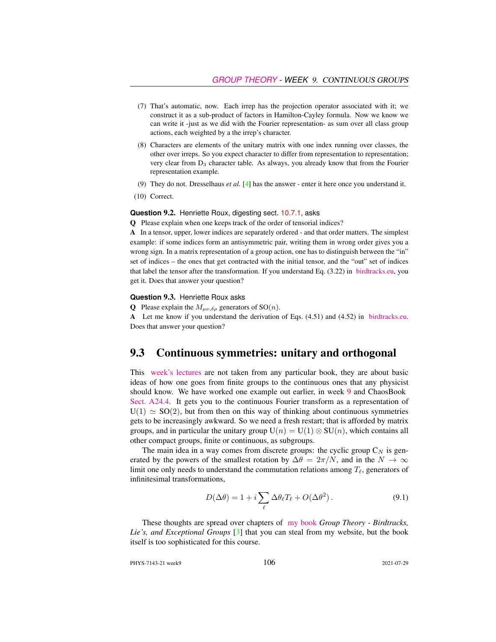- (7) That's automatic, now. Each irrep has the projection operator associated with it; we construct it as a sub-product of factors in Hamilton-Cayley formula. Now we know we can write it -just as we did with the Fourier representation- as sum over all class group actions, each weighted by a the irrep's character.
- (8) Characters are elements of the unitary matrix with one index running over classes, the other over irreps. So you expect character to differ from representation to representation; very clear from D<sup>3</sup> character table. As always, you already know that from the Fourier representation example.
- (9) They do not. Dresselhaus *et al.* [\[4\]](#page-6-3) has the answer enter it here once you understand it.
- (10) Correct.

#### **Question** 9.2. Henriette Roux, digesting sect. 10.7.1, asks

Q Please explain when one keeps track of the order of tensorial indices?

A In a tensor, upper, lower indices are separately ordered - and that order matters. The simplest example: if some indices form an antisymmetric pair, writing them in wrong order gives you a wrong sign. In a matrix representation of a group action, one has to distinguish between the "in" set of indices – the ones that get contracted with the initial tensor, and the "out" set of indices that label the tensor after the transformation. If you understand Eq. (3.22) in [birdtracks.eu,](http://birdtracks.eu/course3/PCgr_pp16_20.pdf) you get it. Does that answer your question?

#### **Question** 9.3. Henriette Roux asks

**Q** Please explain the  $M_{\mu\nu,\delta\rho}$  generators of SO(*n*).

A Let me know if you understand the derivation of Eqs. (4.51) and (4.52) in [birdtracks.eu.](http://birdtracks.eu/course3/PCgr_pp33_38.pdf) Does that answer your question?

#### <span id="page-5-0"></span>9.3 Continuous symmetries: unitary and orthogonal

This [week's lectures](https://www.youtube.com/watch?v=3NeR6RqNA6g&list=PLVcaOb64gCp-J115RvfOhE1Yb4s584Mho&index=109) are not taken from any particular book, they are about basic ideas of how one goes from finite groups to the continuous ones that any physicist should know. We have worked one example out earlier, in week [9](#page-0-0) and ChaosBook [Sect. A24.4.](http://ChaosBook.org/chapters/ChaosBook.pdf#section.X.4) It gets you to the continuous Fourier transform as a representation of  $U(1) \simeq SO(2)$ , but from then on this way of thinking about continuous symmetries gets to be increasingly awkward. So we need a fresh restart; that is afforded by matrix groups, and in particular the unitary group  $U(n) = U(1) \otimes SU(n)$ , which contains all other compact groups, finite or continuous, as subgroups.

The main idea in a way comes from discrete groups: the cyclic group  $C_N$  is generated by the powers of the smallest rotation by  $\Delta\theta = 2\pi/N$ , and in the  $N \to \infty$ limit one only needs to understand the commutation relations among  $T_{\ell}$ , generators of infinitesimal transformations,

$$
D(\Delta \theta) = 1 + i \sum_{\ell} \Delta \theta_{\ell} T_{\ell} + O(\Delta \theta^2).
$$
 (9.1)

These thoughts are spread over chapters of [my book](http://birdtracks.eu/) *Group Theory - Birdtracks, Lie's, and Exceptional Groups* [\[3\]](#page-6-4) that you can steal from my website, but the book itself is too sophisticated for this course.

PHYS-7143-21 week9 106 2021-07-29 2021-07-29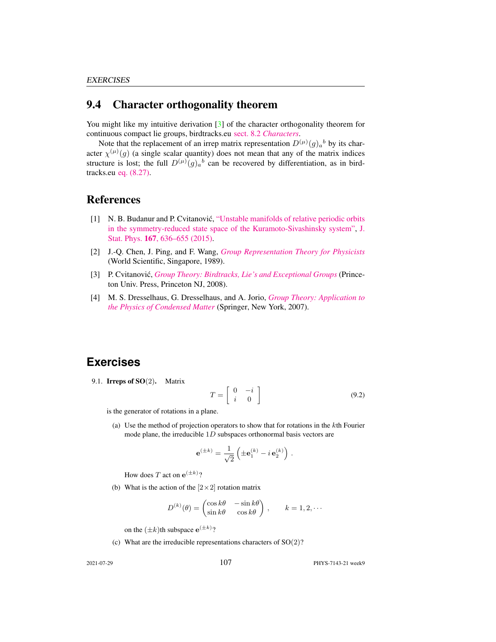### <span id="page-6-2"></span>9.4 Character orthogonality theorem

You might like my intuitive derivation [\[3\]](#page-6-4) of the character orthogonality theorem for continuous compact lie groups, birdtracks.eu sect. 8.2 *[Characters](http://birdtracks.eu/version9.0/GroupTheory.pdf#section.8.2)*.

Note that the replacement of an irrep matrix representation  $D^{(\mu)}(g)_a{}^b$  by its character  $\chi^{(\mu)}(g)$  (a single scalar quantity) does not mean that any of the matrix indices structure is lost; the full  $D^{(\mu)}(g)_{a}{}^{b}$  can be recovered by differentiation, as in birdtracks.eu [eq. \(8.27\).](http://birdtracks.eu/version9.0/GroupTheory.pdf#equation.8.2.27)

#### References

- <span id="page-6-6"></span>[1] N. B. Budanur and P. Cvitanovic,´ ["Unstable manifolds of relative periodic orbits](http://dx.doi.org/10.1007/s10955-016-1672-z) [in the symmetry-reduced state space of the Kuramoto-Sivashinsky system",](http://dx.doi.org/10.1007/s10955-016-1672-z) [J.](https://doi.org/10.1007/s10955-016-1672-z) Stat. Phys. 167[, 636–655 \(2015\).](https://doi.org/10.1007/s10955-016-1672-z)
- <span id="page-6-1"></span>[2] J.-Q. Chen, J. Ping, and F. Wang, *[Group Representation Theory for Physicists](http://dx.doi.org/10.1142/0262)* (World Scientific, Singapore, 1989).
- <span id="page-6-4"></span>[3] P. Cvitanović, *[Group Theory: Birdtracks, Lie's and Exceptional Groups](http://dx.doi.org/10.1515/9781400837670)* (Princeton Univ. Press, Princeton NJ, 2008).
- <span id="page-6-3"></span>[4] M. S. Dresselhaus, G. Dresselhaus, and A. Jorio, *[Group Theory: Application to](http://dx.doi.org/10.1007/978-3-540-32899-5) [the Physics of Condensed Matter](http://dx.doi.org/10.1007/978-3-540-32899-5)* (Springer, New York, 2007).

## **Exercises**

<span id="page-6-0"></span>9.1. **Irreps of SO** $(2)$ . Matrix

<span id="page-6-5"></span>
$$
T = \left[ \begin{array}{cc} 0 & -i \\ i & 0 \end{array} \right] \tag{9.2}
$$

is the generator of rotations in a plane.

(a) Use the method of projection operators to show that for rotations in the  $k$ th Fourier mode plane, the irreducible 1D subspaces orthonormal basis vectors are

$$
\mathbf{e}^{(\pm k)} = \frac{1}{\sqrt{2}} \left( \pm \mathbf{e}_1^{(k)} - i \mathbf{e}_2^{(k)} \right).
$$

How does T act on  $e^{(\pm k)}$ ?

(b) What is the action of the  $[2 \times 2]$  rotation matrix

$$
D^{(k)}(\theta) = \begin{pmatrix} \cos k\theta & -\sin k\theta \\ \sin k\theta & \cos k\theta \end{pmatrix}, \qquad k = 1, 2, \cdots
$$

on the  $(\pm k)$ th subspace  $e^{(\pm k)}$ ?

(c) What are the irreducible representations characters of  $SO(2)$ ?

2021-07-29 PHYS-7143-21 week9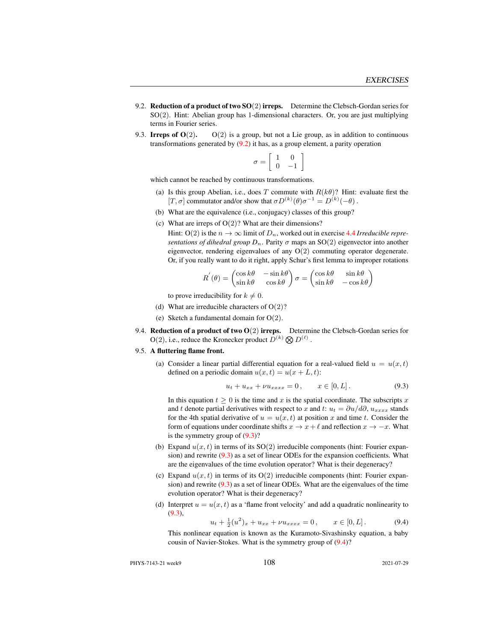- <span id="page-7-0"></span>9.2. Reduction of a product of two  $SO(2)$  irreps. Determine the Clebsch-Gordan series for SO(2). Hint: Abelian group has 1-dimensional characters. Or, you are just multiplying terms in Fourier series.
- <span id="page-7-1"></span>9.3. Irreps of  $O(2)$ .  $O(2)$  is a group, but not a Lie group, as in addition to continuous transformations generated by  $(9.2)$  it has, as a group element, a parity operation

$$
\sigma = \left[ \begin{array}{cc} 1 & 0 \\ 0 & -1 \end{array} \right]
$$

which cannot be reached by continuous transformations.

- (a) Is this group Abelian, i.e., does T commute with  $R(k\theta)$ ? Hint: evaluate first the [T,  $\sigma$ ] commutator and/or show that  $\sigma D^{(k)}(\theta) \sigma^{-1} = D^{(k)}(-\theta)$ .
- (b) What are the equivalence (i.e., conjugacy) classes of this group?
- (c) What are irreps of  $O(2)$ ? What are their dimensions?

Hint:  $O(2)$  is the  $n \to \infty$  limit of  $D_n$ , worked out in exercise 4.4 *Irreducible representations of dihedral group*  $D_n$ . Parity  $\sigma$  maps an SO(2) eigenvector into another eigenvector, rendering eigenvalues of any O(2) commuting operator degenerate. Or, if you really want to do it right, apply Schur's first lemma to improper rotations

$$
R^{'}(\theta) = \begin{pmatrix} \cos k\theta & -\sin k\theta \\ \sin k\theta & \cos k\theta \end{pmatrix} \sigma = \begin{pmatrix} \cos k\theta & \sin k\theta \\ \sin k\theta & -\cos k\theta \end{pmatrix}
$$

to prove irreducibility for  $k \neq 0$ .

- (d) What are irreducible characters of  $O(2)$ ?
- (e) Sketch a fundamental domain for O(2).
- <span id="page-7-2"></span>9.4. Reduction of a product of two  $O(2)$  irreps. Determine the Clebsch-Gordan series for  $O(2)$ , i.e., reduce the Kronecker product  $D^{(k)} \otimes D^{(\ell)}$ .
- <span id="page-7-3"></span>9.5. A fluttering flame front.
	- (a) Consider a linear partial differential equation for a real-valued field  $u = u(x, t)$ defined on a periodic domain  $u(x, t) = u(x + L, t)$ :

<span id="page-7-4"></span>
$$
u_t + u_{xx} + \nu u_{xxxx} = 0, \qquad x \in [0, L]. \tag{9.3}
$$

In this equation  $t > 0$  is the time and x is the spatial coordinate. The subscripts x and t denote partial derivatives with respect to x and t:  $u_t = \partial u/d\partial$ ,  $u_{xxxx}$  stands for the 4th spatial derivative of  $u = u(x, t)$  at position x and time t. Consider the form of equations under coordinate shifts  $x \to x + \ell$  and reflection  $x \to -x$ . What is the symmetry group of [\(9.3\)](#page-7-4)?

- (b) Expand  $u(x, t)$  in terms of its  $SO(2)$  irreducible components (hint: Fourier expansion) and rewrite [\(9.3\)](#page-7-4) as a set of linear ODEs for the expansion coefficients. What are the eigenvalues of the time evolution operator? What is their degeneracy?
- (c) Expand  $u(x, t)$  in terms of its  $O(2)$  irreducible components (hint: Fourier expansion) and rewrite [\(9.3\)](#page-7-4) as a set of linear ODEs. What are the eigenvalues of the time evolution operator? What is their degeneracy?
- (d) Interpret  $u = u(x, t)$  as a 'flame front velocity' and add a quadratic nonlinearity to [\(9.3\)](#page-7-4),

<span id="page-7-5"></span>
$$
u_t + \frac{1}{2}(u^2)_x + u_{xx} + \nu u_{xxxx} = 0, \qquad x \in [0, L]. \tag{9.4}
$$

This nonlinear equation is known as the Kuramoto-Sivashinsky equation, a baby cousin of Navier-Stokes. What is the symmetry group of [\(9.4\)](#page-7-5)?

PHYS-7143-21 week9 2021-07-29 2021-07-29